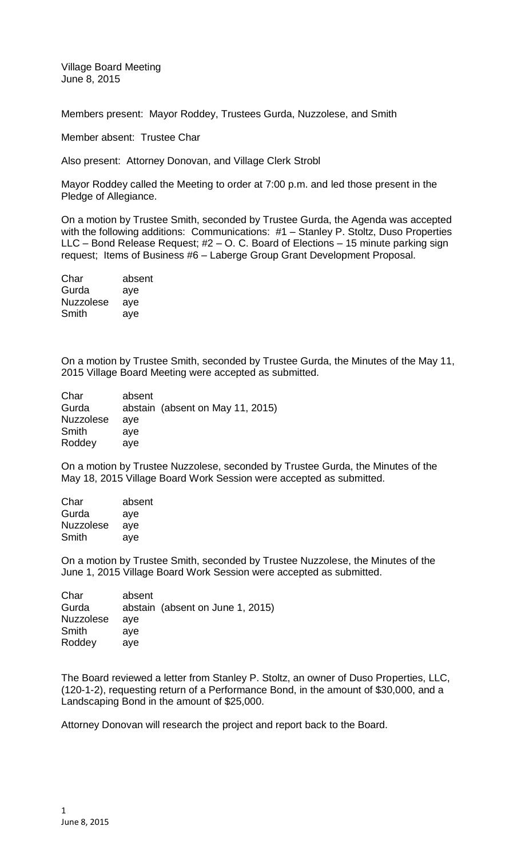Village Board Meeting June 8, 2015

Members present: Mayor Roddey, Trustees Gurda, Nuzzolese, and Smith

Member absent: Trustee Char

Also present: Attorney Donovan, and Village Clerk Strobl

Mayor Roddey called the Meeting to order at 7:00 p.m. and led those present in the Pledge of Allegiance.

On a motion by Trustee Smith, seconded by Trustee Gurda, the Agenda was accepted with the following additions: Communications: #1 - Stanley P. Stoltz, Duso Properties LLC – Bond Release Request; #2 – O. C. Board of Elections – 15 minute parking sign request; Items of Business #6 – Laberge Group Grant Development Proposal.

| Char             | absent |
|------------------|--------|
| Gurda            | aye    |
| <b>Nuzzolese</b> | aye    |
| Smith            | aye    |

On a motion by Trustee Smith, seconded by Trustee Gurda, the Minutes of the May 11, 2015 Village Board Meeting were accepted as submitted.

| Char             | absent |                                  |
|------------------|--------|----------------------------------|
| Gurda            |        | abstain (absent on May 11, 2015) |
| <b>Nuzzolese</b> | ave    |                                  |
| Smith            | ave    |                                  |
| Roddey           | ave    |                                  |

On a motion by Trustee Nuzzolese, seconded by Trustee Gurda, the Minutes of the May 18, 2015 Village Board Work Session were accepted as submitted.

| Char             | absent |
|------------------|--------|
| Gurda            | aye    |
| <b>Nuzzolese</b> | aye    |
| Smith            | aye    |
|                  |        |

On a motion by Trustee Smith, seconded by Trustee Nuzzolese, the Minutes of the June 1, 2015 Village Board Work Session were accepted as submitted.

| Char             | absent |                                  |
|------------------|--------|----------------------------------|
| Gurda            |        | abstain (absent on June 1, 2015) |
| <b>Nuzzolese</b> | ave    |                                  |
| Smith            | ave    |                                  |
| Roddey           | ave    |                                  |

The Board reviewed a letter from Stanley P. Stoltz, an owner of Duso Properties, LLC, (120-1-2), requesting return of a Performance Bond, in the amount of \$30,000, and a Landscaping Bond in the amount of \$25,000.

Attorney Donovan will research the project and report back to the Board.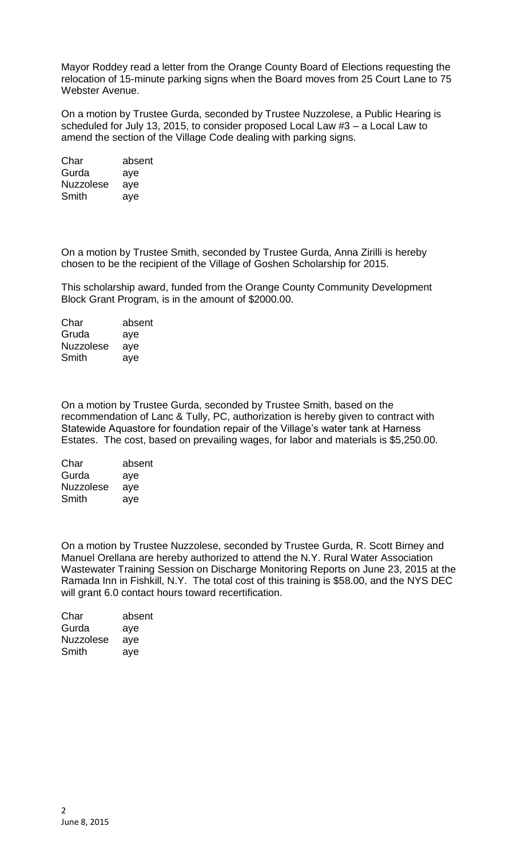Mayor Roddey read a letter from the Orange County Board of Elections requesting the relocation of 15-minute parking signs when the Board moves from 25 Court Lane to 75 Webster Avenue.

On a motion by Trustee Gurda, seconded by Trustee Nuzzolese, a Public Hearing is scheduled for July 13, 2015, to consider proposed Local Law #3 – a Local Law to amend the section of the Village Code dealing with parking signs.

| Char             | absent |
|------------------|--------|
| Gurda            | aye    |
| <b>Nuzzolese</b> | aye    |
| Smith            | aye    |

On a motion by Trustee Smith, seconded by Trustee Gurda, Anna Zirilli is hereby chosen to be the recipient of the Village of Goshen Scholarship for 2015.

This scholarship award, funded from the Orange County Community Development Block Grant Program, is in the amount of \$2000.00.

Char absent Gruda aye Nuzzolese aye Smith aye

On a motion by Trustee Gurda, seconded by Trustee Smith, based on the recommendation of Lanc & Tully, PC, authorization is hereby given to contract with Statewide Aquastore for foundation repair of the Village's water tank at Harness Estates. The cost, based on prevailing wages, for labor and materials is \$5,250.00.

| Char             | absent |
|------------------|--------|
| Gurda            | aye    |
| <b>Nuzzolese</b> | aye    |
| Smith            | aye    |

On a motion by Trustee Nuzzolese, seconded by Trustee Gurda, R. Scott Birney and Manuel Orellana are hereby authorized to attend the N.Y. Rural Water Association Wastewater Training Session on Discharge Monitoring Reports on June 23, 2015 at the Ramada Inn in Fishkill, N.Y. The total cost of this training is \$58.00, and the NYS DEC will grant 6.0 contact hours toward recertification.

| absent |
|--------|
| aye    |
| aye    |
| aye    |
|        |